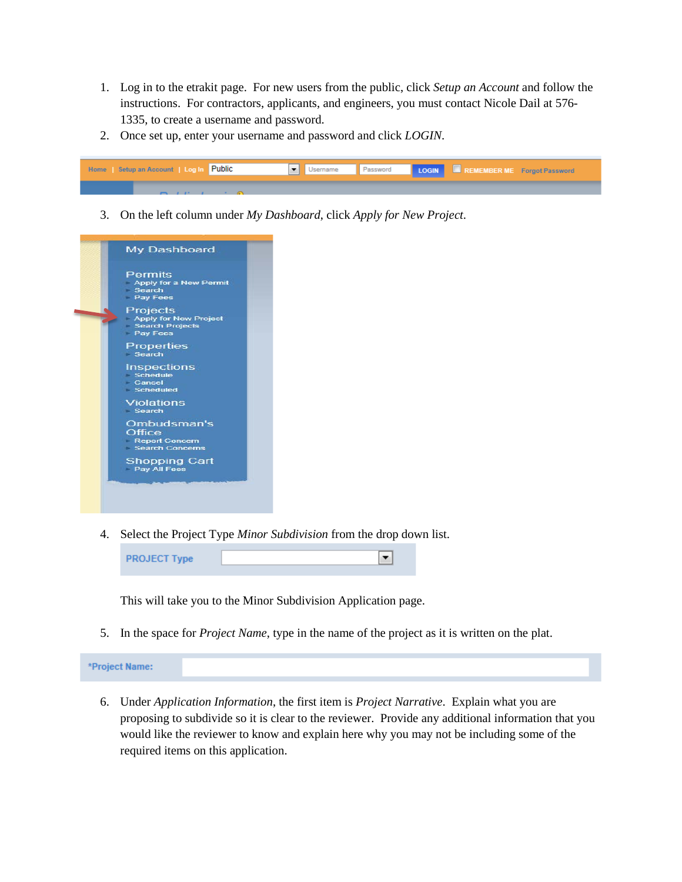- 1. Log in to the etrakit page. For new users from the public, click *Setup an Account* and follow the instructions. For contractors, applicants, and engineers, you must contact Nicole Dail at 576- 1335, to create a username and password.
- 2. Once set up, enter your username and password and click *LOGIN*.



3. On the left column under *My Dashboard*, click *Apply for New Project*.



4. Select the Project Type *Minor Subdivision* from the drop down list.



This will take you to the Minor Subdivision Application page.

5. In the space for *Project Name*, type in the name of the project as it is written on the plat.

\*Project Name:

6. Under *Application Information*, the first item is *Project Narrative*. Explain what you are proposing to subdivide so it is clear to the reviewer. Provide any additional information that you would like the reviewer to know and explain here why you may not be including some of the required items on this application.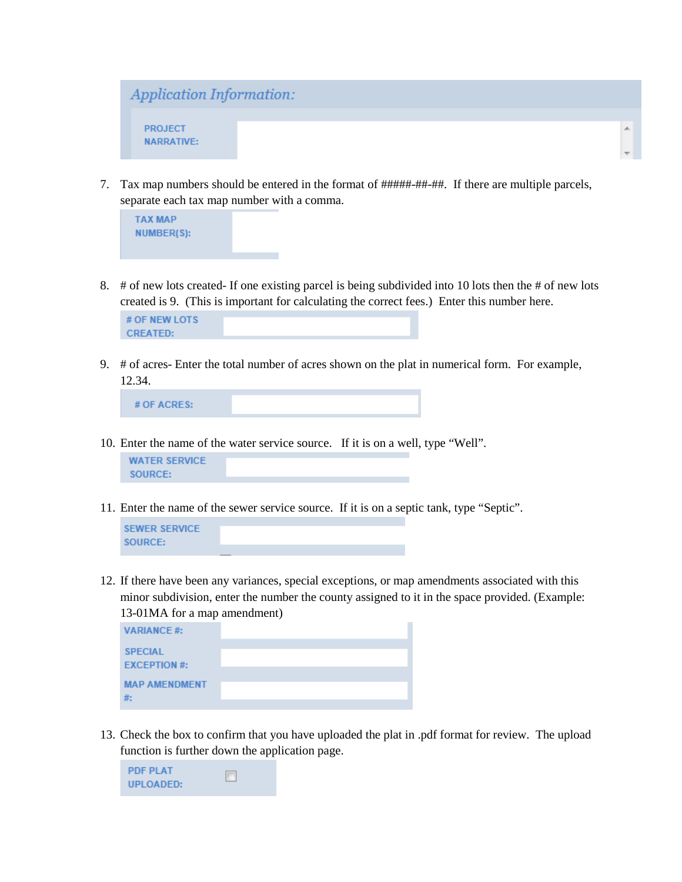

7. Tax map numbers should be entered in the format of #####-##-##. If there are multiple parcels, separate each tax map number with a comma.



8. # of new lots created- If one existing parcel is being subdivided into 10 lots then the # of new lots created is 9. (This is important for calculating the correct fees.) Enter this number here.

| # OF NEW LOTS   |  |
|-----------------|--|
| <b>CREATED:</b> |  |

9. # of acres- Enter the total number of acres shown on the plat in numerical form. For example, 12.34.

# OF ACRES:

- 10. Enter the name of the water service source. If it is on a well, type "Well". **WATER SERVICE SOURCE:**
- 11. Enter the name of the sewer service source. If it is on a septic tank, type "Septic".

**SEWER SERVICE SOURCE:** 

12. If there have been any variances, special exceptions, or map amendments associated with this minor subdivision, enter the number the county assigned to it in the space provided. (Example: 13-01MA for a map amendment)

| <b>VARIANCE#:</b>              |  |
|--------------------------------|--|
| <b>SPECIAL</b><br>EXCEPTION #: |  |
| <b>MAP AMENDMENT</b><br>#:     |  |

13. Check the box to confirm that you have uploaded the plat in .pdf format for review. The upload function is further down the application page.

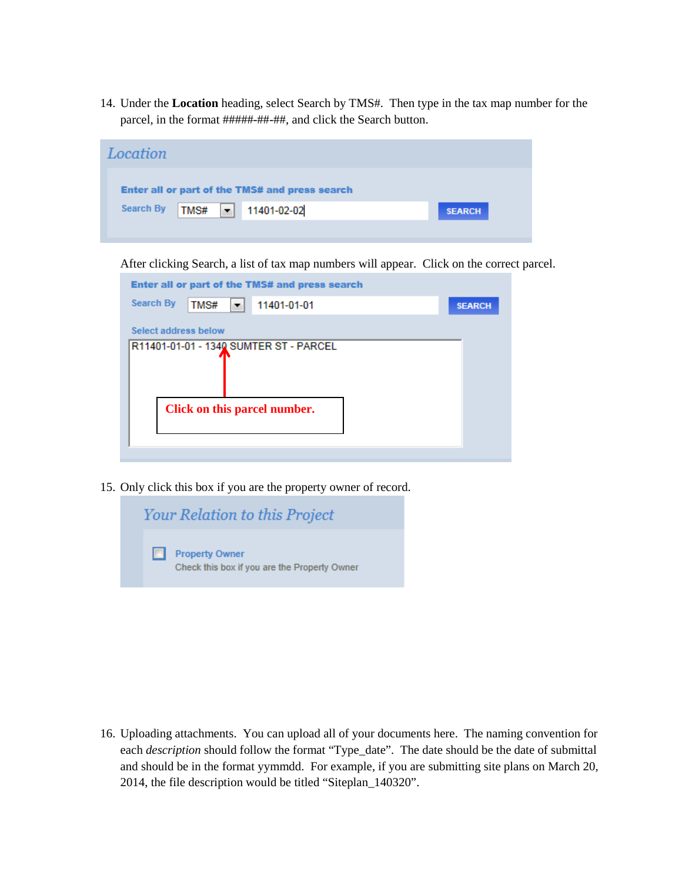14. Under the **Location** heading, select Search by TMS#. Then type in the tax map number for the parcel, in the format #####-##-##, and click the Search button.

| Location                                       |                            |               |
|------------------------------------------------|----------------------------|---------------|
| Enter all or part of the TMS# and press search |                            |               |
| Search By                                      | TMS# $\bullet$ 11401-02-02 | <b>SEARCH</b> |
|                                                |                            |               |

After clicking Search, a list of tax map numbers will appear. Click on the correct parcel.

| Enter all or part of the TMS# and press search |               |
|------------------------------------------------|---------------|
| <b>Search By</b><br>TMS#<br>11401-01-01<br>▼.  | <b>SEARCH</b> |
| Select address below                           |               |
| R11401-01-01 - 1340 SUMTER ST - PARCEL         |               |
|                                                |               |
| Click on this parcel number.                   |               |
|                                                |               |

15. Only click this box if you are the property owner of record.



16. Uploading attachments. You can upload all of your documents here. The naming convention for each *description* should follow the format "Type\_date". The date should be the date of submittal and should be in the format yymmdd. For example, if you are submitting site plans on March 20, 2014, the file description would be titled "Siteplan\_140320".